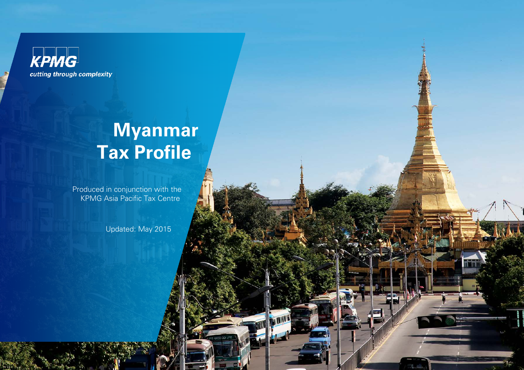

# **Myanmar Tax Profile**

Produced in conjunction with the **KPMG Asia Pacific Tax Centre** 

Updated: May 2015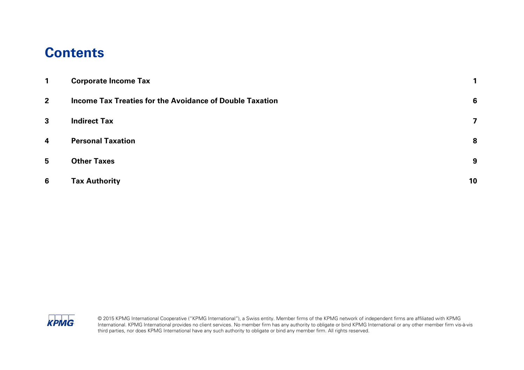#### **Contents**

| $\mathbf 1$     | <b>Corporate Income Tax</b>                                     | 1  |
|-----------------|-----------------------------------------------------------------|----|
| $2^{\circ}$     | <b>Income Tax Treaties for the Avoidance of Double Taxation</b> | 6  |
| $\mathbf{3}$    | <b>Indirect Tax</b>                                             | 7  |
| $\overline{4}$  | <b>Personal Taxation</b>                                        | 8  |
| 5               | <b>Other Taxes</b>                                              | 9  |
| $6\phantom{1}6$ | <b>Tax Authority</b>                                            | 10 |

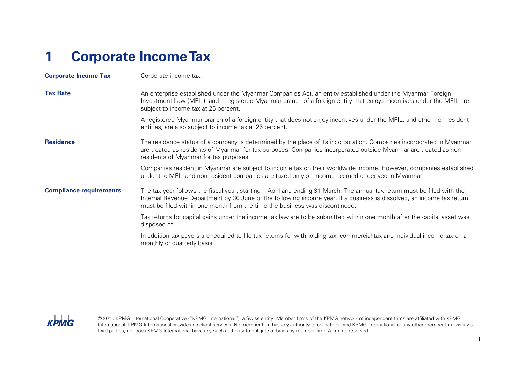# <span id="page-2-0"></span>**1 Corporate Income Tax**

| <b>Corporate Income Tax</b>    | Corporate income tax.                                                                                                                                                                                                                                                                                                            |
|--------------------------------|----------------------------------------------------------------------------------------------------------------------------------------------------------------------------------------------------------------------------------------------------------------------------------------------------------------------------------|
| <b>Tax Rate</b>                | An enterprise established under the Myanmar Companies Act, an entity established under the Myanmar Foreign<br>Investment Law (MFIL), and a registered Myanmar branch of a foreign entity that enjoys incentives under the MFIL are<br>subject to income tax at 25 percent.                                                       |
|                                | A registered Myanmar branch of a foreign entity that does not enjoy incentives under the MFIL, and other non-resident<br>entities, are also subject to income tax at 25 percent.                                                                                                                                                 |
| <b>Residence</b>               | The residence status of a company is determined by the place of its incorporation. Companies incorporated in Myanmar<br>are treated as residents of Myanmar for tax purposes. Companies incorporated outside Myanmar are treated as non-<br>residents of Myanmar for tax purposes.                                               |
|                                | Companies resident in Myanmar are subject to income tax on their worldwide income. However, companies established<br>under the MFIL and non-resident companies are taxed only on income accrued or derived in Myanmar.                                                                                                           |
| <b>Compliance requirements</b> | The tax year follows the fiscal year, starting 1 April and ending 31 March. The annual tax return must be filed with the<br>Internal Revenue Department by 30 June of the following income year. If a business is dissolved, an income tax return<br>must be filed within one month from the time the business was discontinued. |
|                                | Tax returns for capital gains under the income tax law are to be submitted within one month after the capital asset was<br>disposed of.                                                                                                                                                                                          |
|                                | In addition tax payers are required to file tax returns for withholding tax, commercial tax and individual income tax on a<br>monthly or quarterly basis.                                                                                                                                                                        |

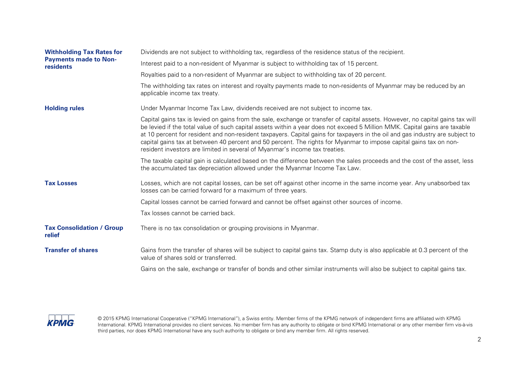| <b>Withholding Tax Rates for</b>           | Dividends are not subject to withholding tax, regardless of the residence status of the recipient.                                                                                                                                                                                                                                                                                                                                                                                                                                                                                                 |
|--------------------------------------------|----------------------------------------------------------------------------------------------------------------------------------------------------------------------------------------------------------------------------------------------------------------------------------------------------------------------------------------------------------------------------------------------------------------------------------------------------------------------------------------------------------------------------------------------------------------------------------------------------|
| <b>Payments made to Non-</b><br>residents  | Interest paid to a non-resident of Myanmar is subject to withholding tax of 15 percent.                                                                                                                                                                                                                                                                                                                                                                                                                                                                                                            |
|                                            | Royalties paid to a non-resident of Myanmar are subject to withholding tax of 20 percent.                                                                                                                                                                                                                                                                                                                                                                                                                                                                                                          |
|                                            | The withholding tax rates on interest and royalty payments made to non-residents of Myanmar may be reduced by an<br>applicable income tax treaty.                                                                                                                                                                                                                                                                                                                                                                                                                                                  |
| <b>Holding rules</b>                       | Under Myanmar Income Tax Law, dividends received are not subject to income tax.                                                                                                                                                                                                                                                                                                                                                                                                                                                                                                                    |
|                                            | Capital gains tax is levied on gains from the sale, exchange or transfer of capital assets. However, no capital gains tax will<br>be levied if the total value of such capital assets within a year does not exceed 5 Million MMK. Capital gains are taxable<br>at 10 percent for resident and non-resident taxpayers. Capital gains for taxpayers in the oil and gas industry are subject to<br>capital gains tax at between 40 percent and 50 percent. The rights for Myanmar to impose capital gains tax on non-<br>resident investors are limited in several of Myanmar's income tax treaties. |
|                                            | The taxable capital gain is calculated based on the difference between the sales proceeds and the cost of the asset, less<br>the accumulated tax depreciation allowed under the Myanmar Income Tax Law.                                                                                                                                                                                                                                                                                                                                                                                            |
| <b>Tax Losses</b>                          | Losses, which are not capital losses, can be set off against other income in the same income year. Any unabsorbed tax<br>losses can be carried forward for a maximum of three years.                                                                                                                                                                                                                                                                                                                                                                                                               |
|                                            | Capital losses cannot be carried forward and cannot be offset against other sources of income.                                                                                                                                                                                                                                                                                                                                                                                                                                                                                                     |
|                                            | Tax losses cannot be carried back.                                                                                                                                                                                                                                                                                                                                                                                                                                                                                                                                                                 |
| <b>Tax Consolidation / Group</b><br>relief | There is no tax consolidation or grouping provisions in Myanmar.                                                                                                                                                                                                                                                                                                                                                                                                                                                                                                                                   |
| <b>Transfer of shares</b>                  | Gains from the transfer of shares will be subject to capital gains tax. Stamp duty is also applicable at 0.3 percent of the<br>value of shares sold or transferred.                                                                                                                                                                                                                                                                                                                                                                                                                                |
|                                            | Gains on the sale, exchange or transfer of bonds and other similar instruments will also be subject to capital gains tax.                                                                                                                                                                                                                                                                                                                                                                                                                                                                          |

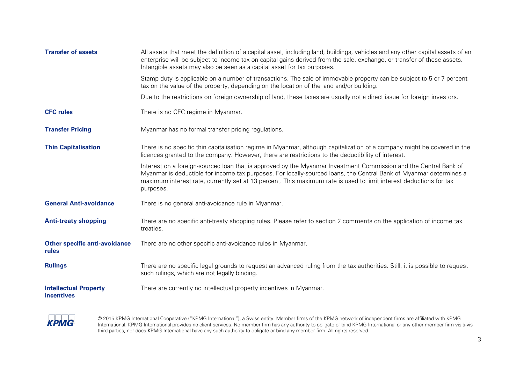| <b>Transfer of assets</b>                         | All assets that meet the definition of a capital asset, including land, buildings, vehicles and any other capital assets of an<br>enterprise will be subject to income tax on capital gains derived from the sale, exchange, or transfer of these assets.<br>Intangible assets may also be seen as a capital asset for tax purposes.                                      |
|---------------------------------------------------|---------------------------------------------------------------------------------------------------------------------------------------------------------------------------------------------------------------------------------------------------------------------------------------------------------------------------------------------------------------------------|
|                                                   | Stamp duty is applicable on a number of transactions. The sale of immovable property can be subject to 5 or 7 percent<br>tax on the value of the property, depending on the location of the land and/or building.                                                                                                                                                         |
|                                                   | Due to the restrictions on foreign ownership of land, these taxes are usually not a direct issue for foreign investors.                                                                                                                                                                                                                                                   |
| <b>CFC rules</b>                                  | There is no CFC regime in Myanmar.                                                                                                                                                                                                                                                                                                                                        |
| <b>Transfer Pricing</b>                           | Myanmar has no formal transfer pricing regulations.                                                                                                                                                                                                                                                                                                                       |
| <b>Thin Capitalisation</b>                        | There is no specific thin capitalisation regime in Myanmar, although capitalization of a company might be covered in the<br>licences granted to the company. However, there are restrictions to the deductibility of interest.                                                                                                                                            |
|                                                   | Interest on a foreign-sourced loan that is approved by the Myanmar Investment Commission and the Central Bank of<br>Myanmar is deductible for income tax purposes. For locally-sourced loans, the Central Bank of Myanmar determines a<br>maximum interest rate, currently set at 13 percent. This maximum rate is used to limit interest deductions for tax<br>purposes. |
| <b>General Anti-avoidance</b>                     | There is no general anti-avoidance rule in Myanmar.                                                                                                                                                                                                                                                                                                                       |
| <b>Anti-treaty shopping</b>                       | There are no specific anti-treaty shopping rules. Please refer to section 2 comments on the application of income tax<br>treaties.                                                                                                                                                                                                                                        |
| <b>Other specific anti-avoidance</b><br>rules     | There are no other specific anti-avoidance rules in Myanmar.                                                                                                                                                                                                                                                                                                              |
| <b>Rulings</b>                                    | There are no specific legal grounds to request an advanced ruling from the tax authorities. Still, it is possible to request<br>such rulings, which are not legally binding.                                                                                                                                                                                              |
| <b>Intellectual Property</b><br><b>Incentives</b> | There are currently no intellectual property incentives in Myanmar.                                                                                                                                                                                                                                                                                                       |

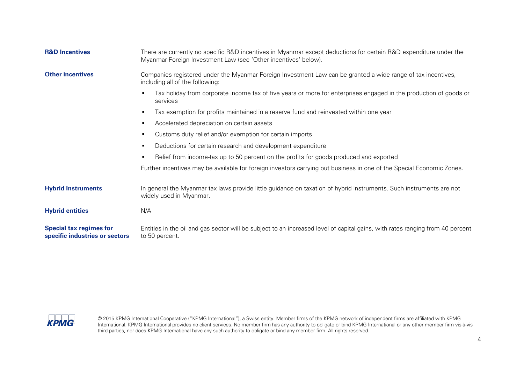| <b>R&amp;D Incentives</b>                                        | There are currently no specific R&D incentives in Myanmar except deductions for certain R&D expenditure under the<br>Myanmar Foreign Investment Law (see 'Other incentives' below). |  |  |
|------------------------------------------------------------------|-------------------------------------------------------------------------------------------------------------------------------------------------------------------------------------|--|--|
| <b>Other incentives</b>                                          | Companies registered under the Myanmar Foreign Investment Law can be granted a wide range of tax incentives,<br>including all of the following:                                     |  |  |
|                                                                  | Tax holiday from corporate income tax of five years or more for enterprises engaged in the production of goods or<br>٠<br>services                                                  |  |  |
|                                                                  | Tax exemption for profits maintained in a reserve fund and reinvested within one year<br>٠                                                                                          |  |  |
|                                                                  | Accelerated depreciation on certain assets<br>٠                                                                                                                                     |  |  |
|                                                                  | Customs duty relief and/or exemption for certain imports<br>$\blacksquare$                                                                                                          |  |  |
|                                                                  | Deductions for certain research and development expenditure<br>$\blacksquare$                                                                                                       |  |  |
|                                                                  | Relief from income-tax up to 50 percent on the profits for goods produced and exported<br>$\blacksquare$                                                                            |  |  |
|                                                                  | Further incentives may be available for foreign investors carrying out business in one of the Special Economic Zones.                                                               |  |  |
| <b>Hybrid Instruments</b>                                        | In general the Myanmar tax laws provide little guidance on taxation of hybrid instruments. Such instruments are not<br>widely used in Myanmar.                                      |  |  |
| <b>Hybrid entities</b>                                           | N/A                                                                                                                                                                                 |  |  |
| <b>Special tax regimes for</b><br>specific industries or sectors | Entities in the oil and gas sector will be subject to an increased level of capital gains, with rates ranging from 40 percent<br>to 50 percent.                                     |  |  |

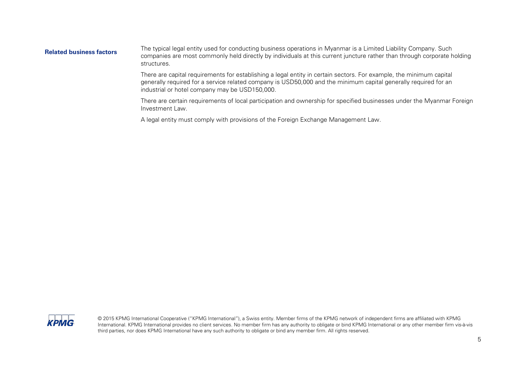**Related business factors** The typical legal entity used for conducting business operations in Myanmar is a Limited Liability Company. Such companies are most commonly held directly by individuals at this current juncture rather than through corporate holding structures.

> There are capital requirements for establishing a legal entity in certain sectors. For example, the minimum capital generally required for a service related company is USD50,000 and the minimum capital generally required for an industrial or hotel company may be USD150,000.

There are certain requirements of local participation and ownership for specified businesses under the Myanmar Foreign Investment Law.

A legal entity must comply with provisions of the Foreign Exchange Management Law.

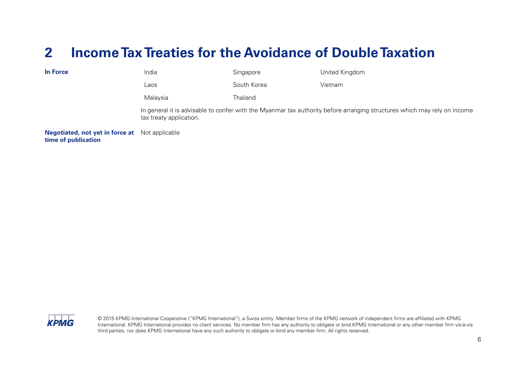### <span id="page-7-0"></span>**2 Income TaxTreaties for the Avoidance of Double Taxation**

| <b>In Force</b>                                               | India                   | Singapore   | United Kingdom                                                                                                           |
|---------------------------------------------------------------|-------------------------|-------------|--------------------------------------------------------------------------------------------------------------------------|
|                                                               | Laos                    | South Korea | Vietnam                                                                                                                  |
|                                                               | Malaysia                | Thailand    |                                                                                                                          |
|                                                               | tax treaty application. |             | In general it is advisable to confer with the Myanmar tax authority before arranging structures which may rely on income |
| <b>Negotiated, not yet in force at</b><br>time of publication | Not applicable          |             |                                                                                                                          |

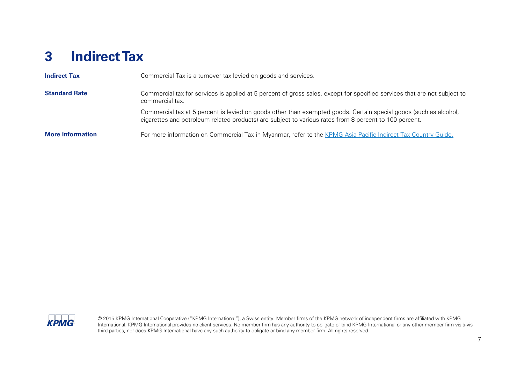# <span id="page-8-0"></span>**3 Indirect Tax**

| <b>Indirect Tax</b>     | Commercial Tax is a turnover tax levied on goods and services.                                                                                                                                                              |
|-------------------------|-----------------------------------------------------------------------------------------------------------------------------------------------------------------------------------------------------------------------------|
| <b>Standard Rate</b>    | Commercial tax for services is applied at 5 percent of gross sales, except for specified services that are not subject to<br>commercial tax.                                                                                |
|                         | Commercial tax at 5 percent is levied on goods other than exempted goods. Certain special goods (such as alcohol,<br>cigarettes and petroleum related products) are subject to various rates from 8 percent to 100 percent. |
| <b>More information</b> | For more information on Commercial Tax in Myanmar, refer to the KPMG Asia Pacific Indirect Tax Country Guide.                                                                                                               |

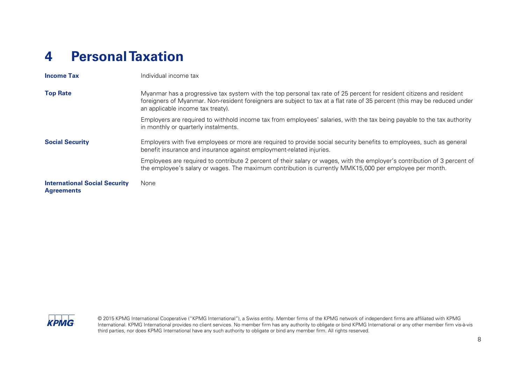# <span id="page-9-0"></span>**4 Personal Taxation**

| <b>Income Tax</b>                                         | Individual income tax                                                                                                                                                                                                                                                                  |
|-----------------------------------------------------------|----------------------------------------------------------------------------------------------------------------------------------------------------------------------------------------------------------------------------------------------------------------------------------------|
| <b>Top Rate</b>                                           | Myanmar has a progressive tax system with the top personal tax rate of 25 percent for resident citizens and resident<br>foreigners of Myanmar. Non-resident foreigners are subject to tax at a flat rate of 35 percent (this may be reduced under<br>an applicable income tax treaty). |
|                                                           | Employers are required to withhold income tax from employees' salaries, with the tax being payable to the tax authority<br>in monthly or quarterly instalments.                                                                                                                        |
| <b>Social Security</b>                                    | Employers with five employees or more are required to provide social security benefits to employees, such as general<br>benefit insurance and insurance against employment-related injuries.                                                                                           |
|                                                           | Employees are required to contribute 2 percent of their salary or wages, with the employer's contribution of 3 percent of<br>the employee's salary or wages. The maximum contribution is currently MMK15,000 per employee per month.                                                   |
| <b>International Social Security</b><br><b>Agreements</b> | None                                                                                                                                                                                                                                                                                   |

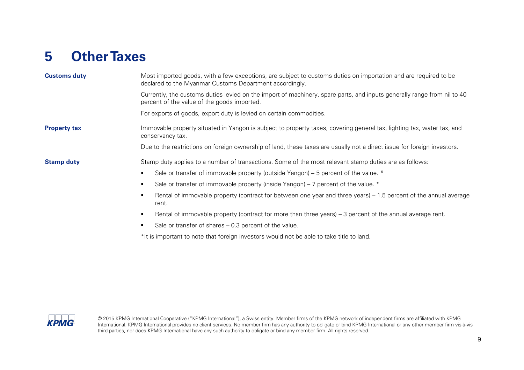# <span id="page-10-0"></span>**5 Other Taxes**

| <b>Customs duty</b> | Most imported goods, with a few exceptions, are subject to customs duties on importation and are required to be<br>declared to the Myanmar Customs Department accordingly. |
|---------------------|----------------------------------------------------------------------------------------------------------------------------------------------------------------------------|
|                     | Currently, the customs duties levied on the import of machinery, spare parts, and inputs generally range from nil to 40<br>percent of the value of the goods imported.     |
|                     | For exports of goods, export duty is levied on certain commodities.                                                                                                        |
| <b>Property tax</b> | Immovable property situated in Yangon is subject to property taxes, covering general tax, lighting tax, water tax, and<br>conservancy tax.                                 |
|                     | Due to the restrictions on foreign ownership of land, these taxes are usually not a direct issue for foreign investors.                                                    |
| <b>Stamp duty</b>   | Stamp duty applies to a number of transactions. Some of the most relevant stamp duties are as follows:                                                                     |
|                     | Sale or transfer of immovable property (outside Yangon) – 5 percent of the value. $*$                                                                                      |
|                     | Sale or transfer of immovable property (inside Yangon) – 7 percent of the value. *                                                                                         |
|                     | Rental of immovable property (contract for between one year and three years) – 1.5 percent of the annual average<br>٠<br>rent.                                             |
|                     | Rental of immovable property (contract for more than three years) – 3 percent of the annual average rent.<br>٠                                                             |
|                     | Sale or transfer of shares – 0.3 percent of the value.                                                                                                                     |
|                     | *It is important to note that foreign investors would not be able to take title to land.                                                                                   |

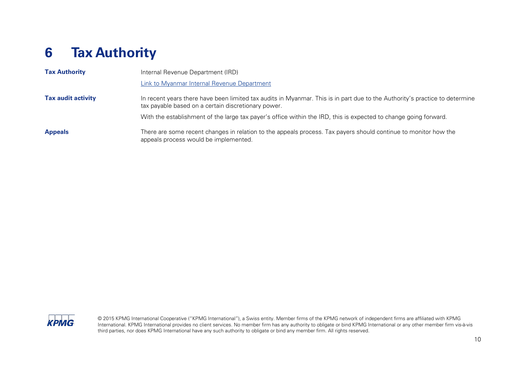# <span id="page-11-0"></span>**6 Tax Authority**

| <b>Tax Authority</b>      | Internal Revenue Department (IRD)                                                                                                                                                  |
|---------------------------|------------------------------------------------------------------------------------------------------------------------------------------------------------------------------------|
|                           | <b>Link to Myanmar Internal Revenue Department</b>                                                                                                                                 |
| <b>Tax audit activity</b> | In recent years there have been limited tax audits in Myanmar. This is in part due to the Authority's practice to determine<br>tax payable based on a certain discretionary power. |
|                           | With the establishment of the large tax payer's office within the IRD, this is expected to change going forward.                                                                   |
| <b>Appeals</b>            | There are some recent changes in relation to the appeals process. Tax payers should continue to monitor how the<br>appeals process would be implemented.                           |